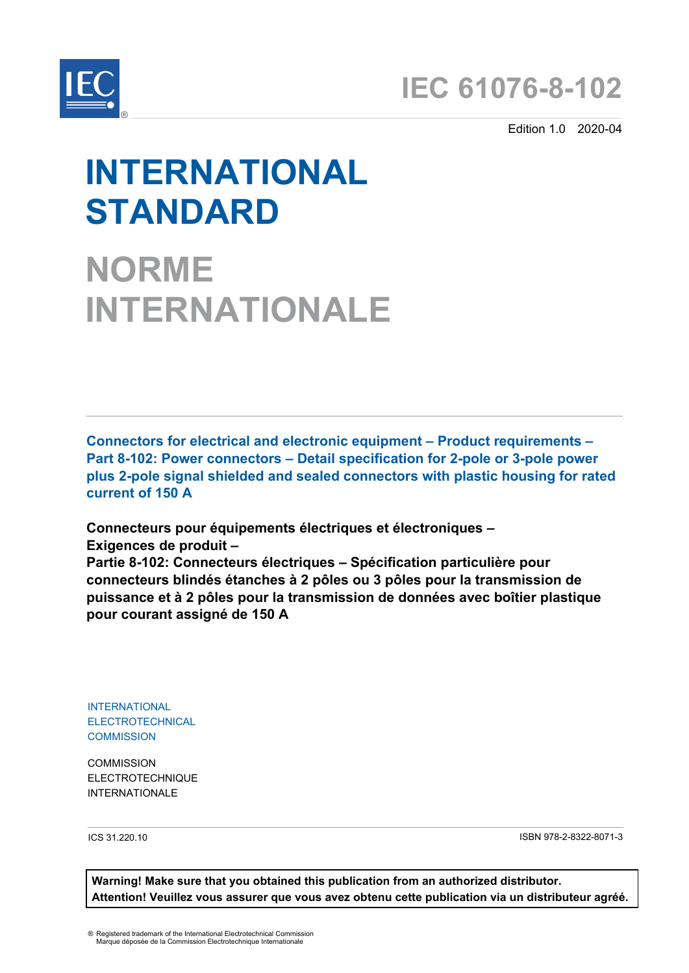

Edition 1.0 2020-04

# **INTERNATIONAL STANDARD**

**NORME INTERNATIONALE**

**Connectors for electrical and electronic equipment – Product requirements – Part 8-102: Power connectors – Detail specification for 2-pole or 3-pole power plus 2-pole signal shielded and sealed connectors with plastic housing for rated current of 150 A** 

**Connecteurs pour équipements électriques et électroniques – Exigences de produit –** 

**Partie 8-102: Connecteurs électriques – Spécification particulière pour connecteurs blindés étanches à 2 pôles ou 3 pôles pour la transmission de puissance et à 2 pôles pour la transmission de données avec boîtier plastique pour courant assigné de 150 A**

INTERNATIONAL **ELECTROTECHNICAL COMMISSION** 

**COMMISSION** ELECTROTECHNIQUE INTERNATIONALE

ICS 31.220.10 ISBN 978-2-8322-8071-3

**Warning! Make sure that you obtained this publication from an authorized distributor. Attention! Veuillez vous assurer que vous avez obtenu cette publication via un distributeur agréé.**

® Registered trademark of the International Electrotechnical Commission Marque déposée de la Commission Electrotechnique Internationale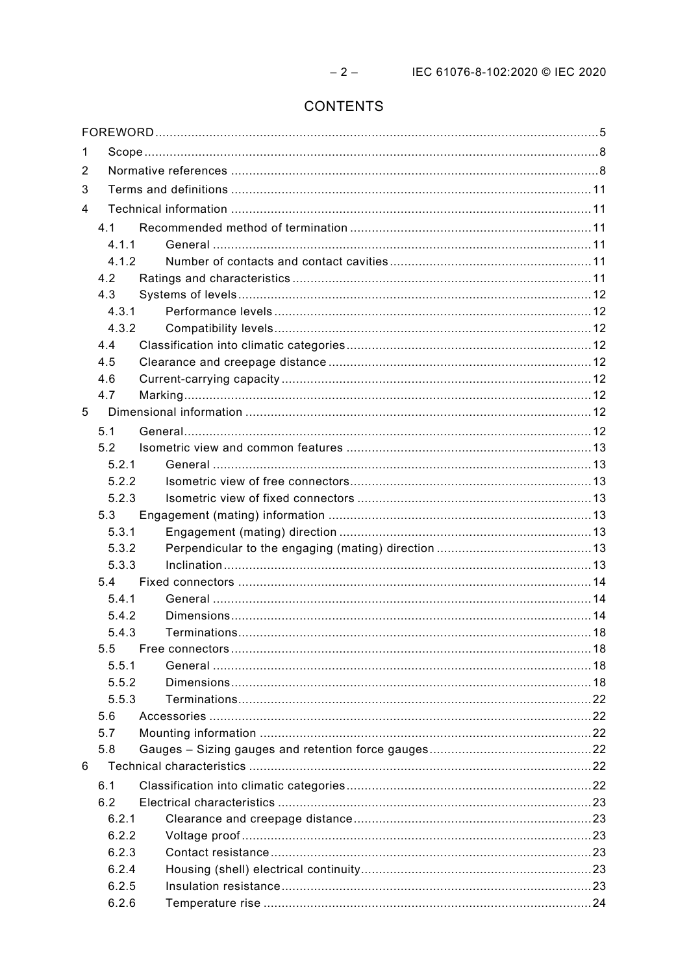# CONTENTS

| 1 |       |  |  |  |
|---|-------|--|--|--|
| 2 |       |  |  |  |
| 3 |       |  |  |  |
| 4 |       |  |  |  |
|   | 4.1   |  |  |  |
|   | 4.1.1 |  |  |  |
|   | 4.1.2 |  |  |  |
|   | 4.2   |  |  |  |
|   | 4.3   |  |  |  |
|   | 4.3.1 |  |  |  |
|   | 4.3.2 |  |  |  |
|   | 4.4   |  |  |  |
|   | 4.5   |  |  |  |
|   | 4.6   |  |  |  |
|   | 4.7   |  |  |  |
| 5 |       |  |  |  |
|   | 5.1   |  |  |  |
|   | 5.2   |  |  |  |
|   | 5.2.1 |  |  |  |
|   | 5.2.2 |  |  |  |
|   | 5.2.3 |  |  |  |
|   | 5.3   |  |  |  |
|   | 5.3.1 |  |  |  |
|   | 5.3.2 |  |  |  |
|   | 5.3.3 |  |  |  |
|   | 5.4   |  |  |  |
|   | 5.4.1 |  |  |  |
|   | 5.4.2 |  |  |  |
|   | 5.4.3 |  |  |  |
|   | 5.5   |  |  |  |
|   | 5.5.1 |  |  |  |
|   | 5.5.2 |  |  |  |
|   | 5.5.3 |  |  |  |
|   | 5.6   |  |  |  |
|   | 5.7   |  |  |  |
|   | 5.8   |  |  |  |
| 6 |       |  |  |  |
|   | 6.1   |  |  |  |
|   | 6.2   |  |  |  |
|   | 6.2.1 |  |  |  |
|   | 6.2.2 |  |  |  |
|   | 6.2.3 |  |  |  |
|   | 6.2.4 |  |  |  |
|   | 6.2.5 |  |  |  |
|   | 6.2.6 |  |  |  |
|   |       |  |  |  |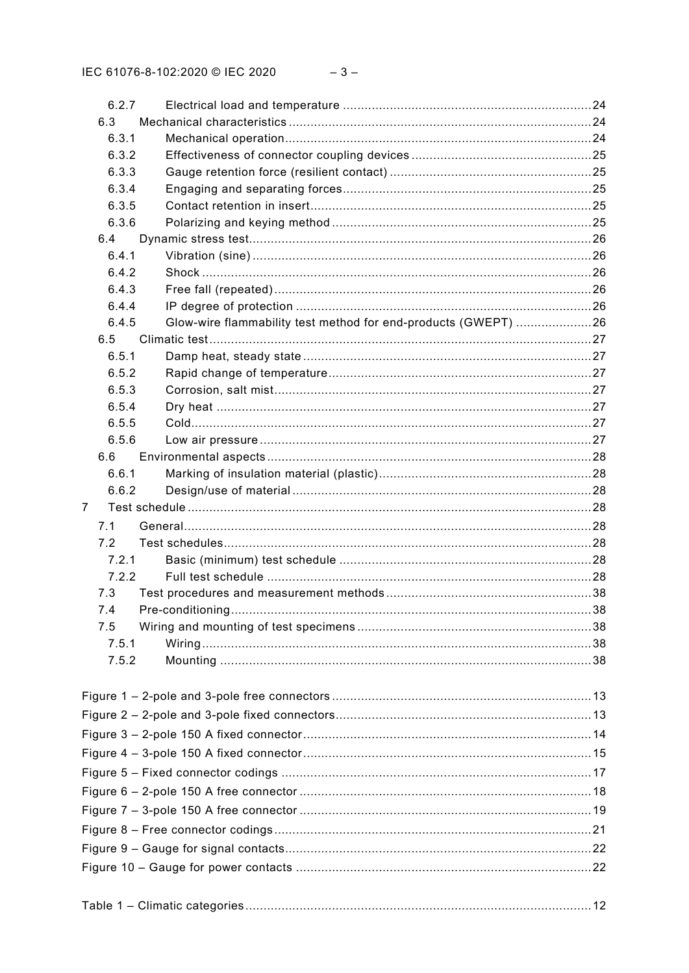| 6.2.7          |                                                                |  |  |  |  |
|----------------|----------------------------------------------------------------|--|--|--|--|
| 6.3            |                                                                |  |  |  |  |
| 6.3.1          |                                                                |  |  |  |  |
| 6.3.2          |                                                                |  |  |  |  |
| 6.3.3          |                                                                |  |  |  |  |
|                | 6.3.4                                                          |  |  |  |  |
| 6.3.5          |                                                                |  |  |  |  |
| 6.3.6          |                                                                |  |  |  |  |
| 6.4            |                                                                |  |  |  |  |
| 6.4.1          |                                                                |  |  |  |  |
| 6.4.2          |                                                                |  |  |  |  |
| 6.4.3          |                                                                |  |  |  |  |
| 6.4.4          |                                                                |  |  |  |  |
| 6.4.5          | Glow-wire flammability test method for end-products (GWEPT) 26 |  |  |  |  |
| 6.5            |                                                                |  |  |  |  |
| 6.5.1          |                                                                |  |  |  |  |
| 6.5.2          |                                                                |  |  |  |  |
| 6.5.3          |                                                                |  |  |  |  |
| 6.5.4          |                                                                |  |  |  |  |
| 6.5.5<br>6.5.6 |                                                                |  |  |  |  |
| 6.6            |                                                                |  |  |  |  |
| 6.6.1          |                                                                |  |  |  |  |
| 6.6.2          |                                                                |  |  |  |  |
| 7              |                                                                |  |  |  |  |
| 7.1            |                                                                |  |  |  |  |
| 7.2            |                                                                |  |  |  |  |
| 7.2.1          |                                                                |  |  |  |  |
| 7.2.2          |                                                                |  |  |  |  |
| 7.3            |                                                                |  |  |  |  |
| 7.4            | Pre-conditioning                                               |  |  |  |  |
| 7.5            |                                                                |  |  |  |  |
| 7.5.1          |                                                                |  |  |  |  |
| 7.5.2          |                                                                |  |  |  |  |
|                |                                                                |  |  |  |  |
|                |                                                                |  |  |  |  |
|                |                                                                |  |  |  |  |
|                |                                                                |  |  |  |  |
|                |                                                                |  |  |  |  |
|                |                                                                |  |  |  |  |
|                |                                                                |  |  |  |  |
|                |                                                                |  |  |  |  |
|                |                                                                |  |  |  |  |
|                |                                                                |  |  |  |  |
|                |                                                                |  |  |  |  |
|                |                                                                |  |  |  |  |
|                |                                                                |  |  |  |  |

|--|--|--|--|--|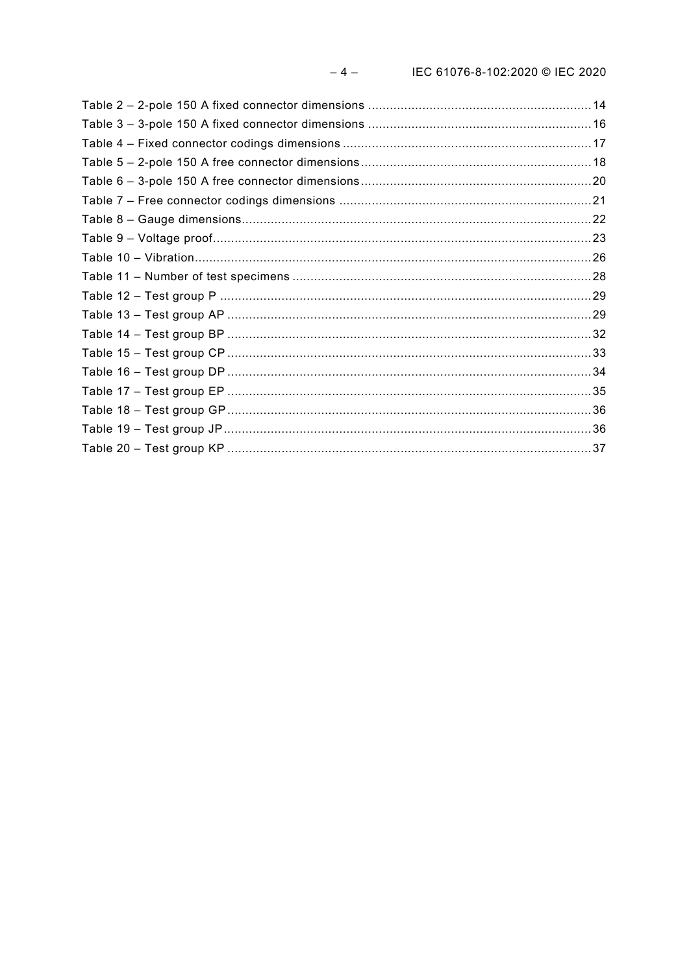# $-4 -$  IEC 61076-8-102:2020 © IEC 2020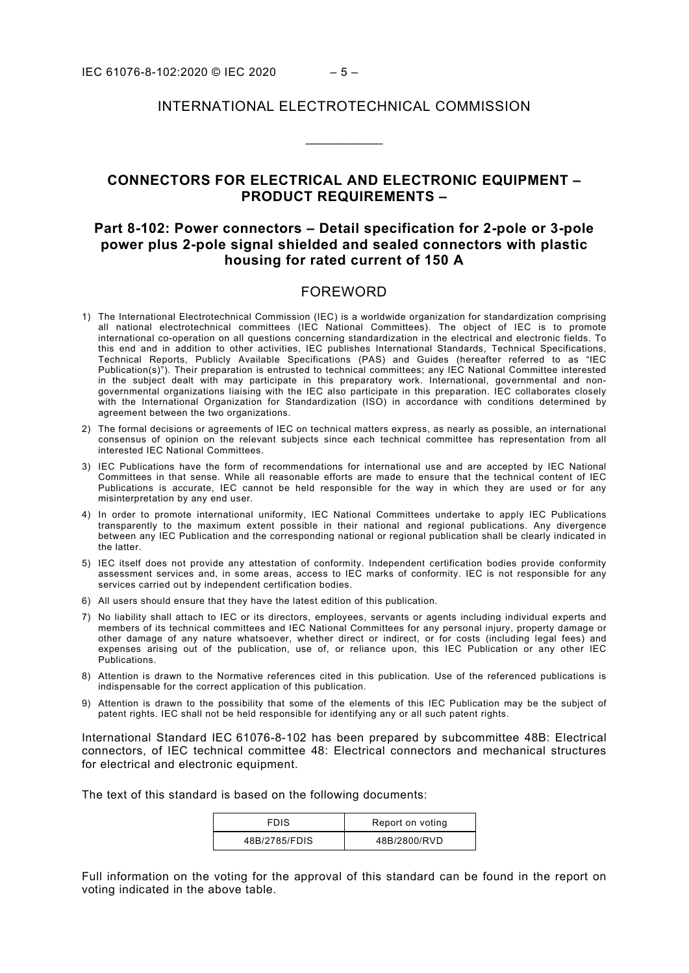#### INTERNATIONAL ELECTROTECHNICAL COMMISSION

\_\_\_\_\_\_\_\_\_\_\_\_

# **CONNECTORS FOR ELECTRICAL AND ELECTRONIC EQUIPMENT – PRODUCT REQUIREMENTS –**

## **Part 8-102: Power connectors – Detail specification for 2-pole or 3-pole power plus 2-pole signal shielded and sealed connectors with plastic housing for rated current of 150 A**

#### FOREWORD

- <span id="page-4-0"></span>1) The International Electrotechnical Commission (IEC) is a worldwide organization for standardization comprising all national electrotechnical committees (IEC National Committees). The object of IEC is to promote international co-operation on all questions concerning standardization in the electrical and electronic fields. To this end and in addition to other activities, IEC publishes International Standards, Technical Specifications, Technical Reports, Publicly Available Specifications (PAS) and Guides (hereafter referred to as "IEC Publication(s)"). Their preparation is entrusted to technical committees; any IEC National Committee interested in the subject dealt with may participate in this preparatory work. International, governmental and nongovernmental organizations liaising with the IEC also participate in this preparation. IEC collaborates closely with the International Organization for Standardization (ISO) in accordance with conditions determined by agreement between the two organizations.
- 2) The formal decisions or agreements of IEC on technical matters express, as nearly as possible, an international consensus of opinion on the relevant subjects since each technical committee has representation from all interested IEC National Committees.
- 3) IEC Publications have the form of recommendations for international use and are accepted by IEC National Committees in that sense. While all reasonable efforts are made to ensure that the technical content of IEC Publications is accurate, IEC cannot be held responsible for the way in which they are used or for any misinterpretation by any end user.
- 4) In order to promote international uniformity, IEC National Committees undertake to apply IEC Publications transparently to the maximum extent possible in their national and regional publications. Any divergence between any IEC Publication and the corresponding national or regional publication shall be clearly indicated in the latter.
- 5) IEC itself does not provide any attestation of conformity. Independent certification bodies provide conformity assessment services and, in some areas, access to IEC marks of conformity. IEC is not responsible for any services carried out by independent certification bodies.
- 6) All users should ensure that they have the latest edition of this publication.
- 7) No liability shall attach to IEC or its directors, employees, servants or agents including individual experts and members of its technical committees and IEC National Committees for any personal injury, property damage or other damage of any nature whatsoever, whether direct or indirect, or for costs (including legal fees) and expenses arising out of the publication, use of, or reliance upon, this IEC Publication or any other IEC Publications.
- 8) Attention is drawn to the Normative references cited in this publication. Use of the referenced publications is indispensable for the correct application of this publication.
- 9) Attention is drawn to the possibility that some of the elements of this IEC Publication may be the subject of patent rights. IEC shall not be held responsible for identifying any or all such patent rights.

International Standard IEC 61076-8-102 has been prepared by subcommittee 48B: Electrical connectors, of IEC technical committee 48: Electrical connectors and mechanical structures for electrical and electronic equipment.

The text of this standard is based on the following documents:

| <b>FDIS</b>   | Report on voting |
|---------------|------------------|
| 48B/2785/FDIS | 48B/2800/RVD     |

Full information on the voting for the approval of this standard can be found in the report on voting indicated in the above table.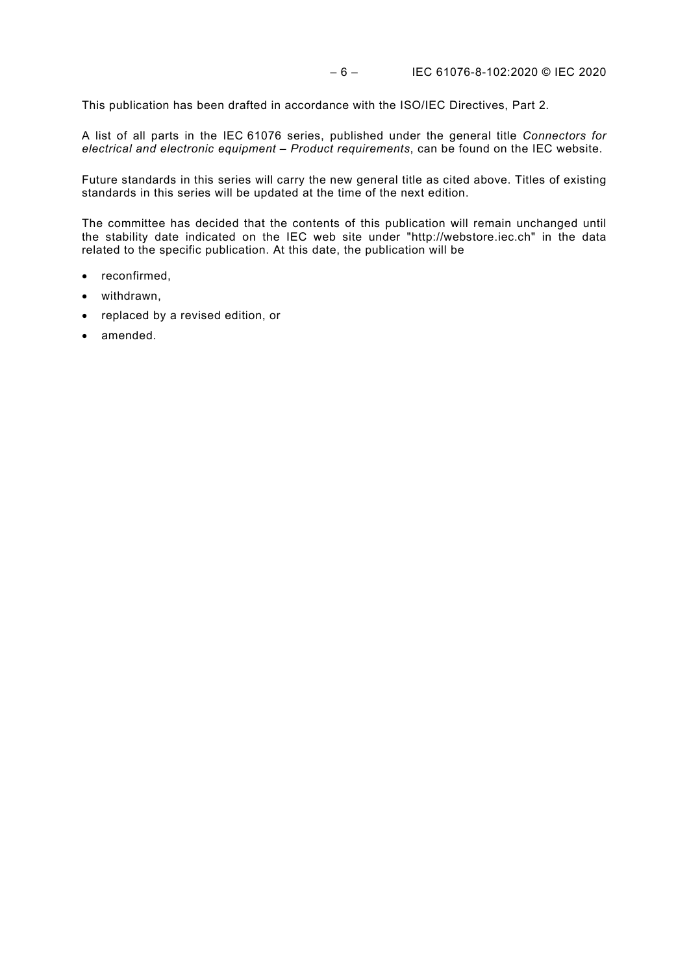This publication has been drafted in accordance with the ISO/IEC Directives, Part 2.

A list of all parts in the IEC 61076 series, published under the general title *Connectors for electrical and electronic equipment – Product requirements*, can be found on the IEC website.

Future standards in this series will carry the new general title as cited above. Titles of existing standards in this series will be updated at the time of the next edition.

The committee has decided that the contents of this publication will remain unchanged until the stability date indicated on the IEC web site under "http://webstore.iec.ch" in the data related to the specific publication. At this date, the publication will be

- reconfirmed,
- withdrawn,
- replaced by a revised edition, or
- amended.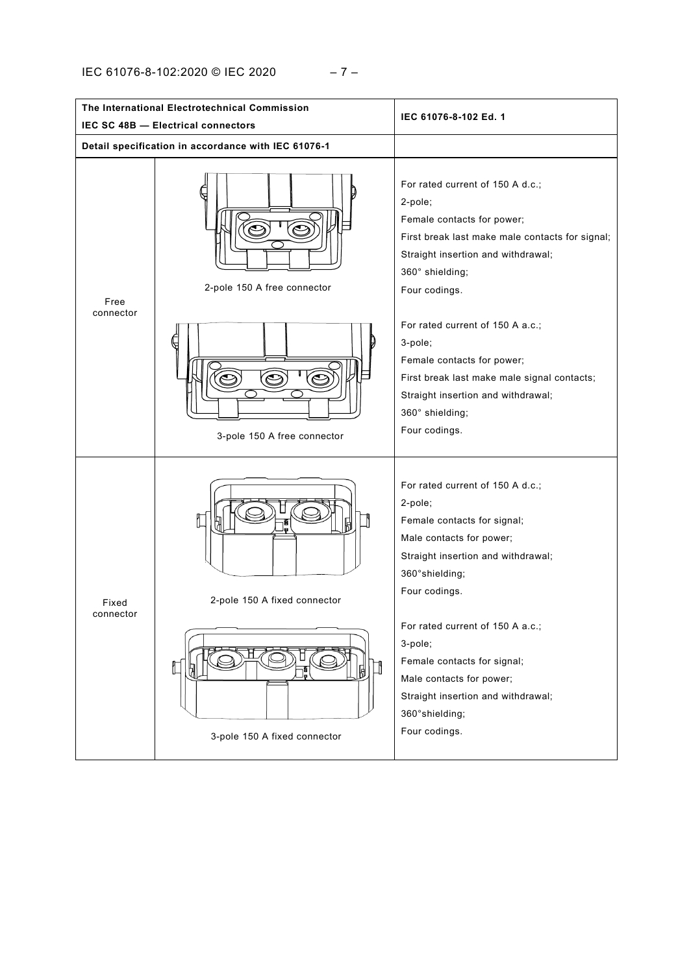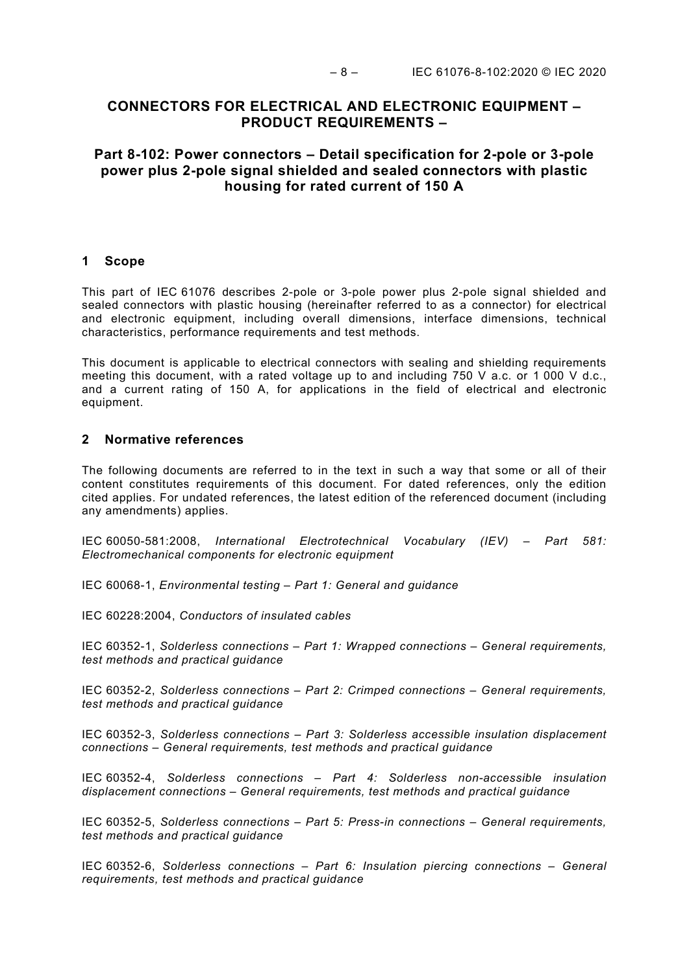## **CONNECTORS FOR ELECTRICAL AND ELECTRONIC EQUIPMENT – PRODUCT REQUIREMENTS –**

# **Part 8-102: Power connectors – Detail specification for 2-pole or 3-pole power plus 2-pole signal shielded and sealed connectors with plastic housing for rated current of 150 A**

#### <span id="page-7-0"></span>**1 Scope**

This part of IEC 61076 describes 2-pole or 3-pole power plus 2-pole signal shielded and sealed connectors with plastic housing (hereinafter referred to as a connector) for electrical and electronic equipment, including overall dimensions, interface dimensions, technical characteristics, performance requirements and test methods.

This document is applicable to electrical connectors with sealing and shielding requirements meeting this document, with a rated voltage up to and including 750 V a.c. or 1 000 V d.c., and a current rating of 150 A, for applications in the field of electrical and electronic equipment.

#### <span id="page-7-1"></span>**2 Normative references**

The following documents are referred to in the text in such a way that some or all of their content constitutes requirements of this document. For dated references, only the edition cited applies. For undated references, the latest edition of the referenced document (including any amendments) applies.

IEC 60050-581:2008, *International Electrotechnical Vocabulary (IEV) – Part 581: Electromechanical components for electronic equipment*

IEC 60068-1, *Environmental testing – Part 1: General and guidance*

IEC 60228:2004, *Conductors of insulated cables*

IEC 60352-1, *Solderless connections – Part 1: Wrapped connections – General requirements, test methods and practical guidance*

IEC 60352-2, *Solderless connections – Part 2: Crimped connections – General requirements, test methods and practical guidance*

IEC 60352-3, *Solderless connections – Part 3: Solderless accessible insulation displacement connections – General requirements, test methods and practical guidance*

IEC 60352-4, *Solderless connections – Part 4: Solderless non-accessible insulation displacement connections – General requirements, test methods and practical guidance*

IEC 60352-5, *Solderless connections – Part 5: Press-in connections – General requirements, test methods and practical guidance*

IEC 60352-6, *Solderless connections – Part 6: Insulation piercing connections – General requirements, test methods and practical guidance*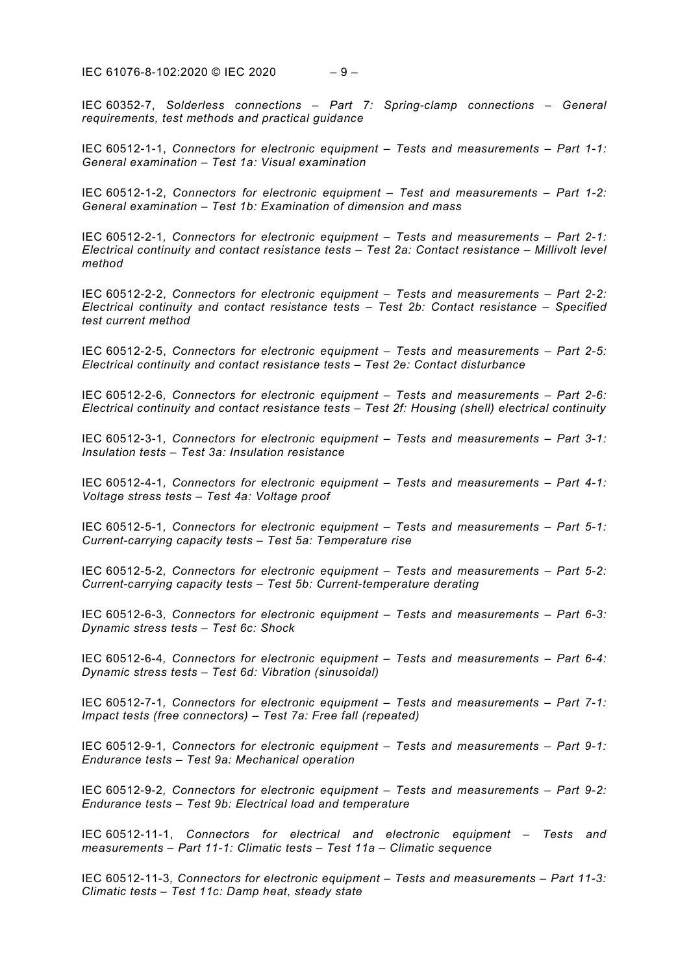IEC 61076-8-102:2020 © IEC 2020 – 9 –

IEC 60352-7, *Solderless connections – Part 7: Spring-clamp connections – General requirements, test methods and practical guidance*

IEC 60512-1-1, *Connectors for electronic equipment – Tests and measurements – Part 1-1: General examination – Test 1a: Visual examination*

IEC 60512-1-2, *Connectors for electronic equipment – Test and measurements – Part 1-2: General examination – Test 1b: Examination of dimension and mass*

IEC 60512-2-1*, Connectors for electronic equipment – Tests and measurements – Part 2-1: Electrical continuity and contact resistance tests – Test 2a: Contact resistance – Millivolt level method*

IEC 60512-2-2, *Connectors for electronic equipment – Tests and measurements – Part 2-2: Electrical continuity and contact resistance tests – Test 2b: Contact resistance – Specified test current method*

IEC 60512-2-5, *Connectors for electronic equipment – Tests and measurements – Part 2-5: Electrical continuity and contact resistance tests – Test 2e: Contact disturbance*

IEC 60512-2-6*, Connectors for electronic equipment – Tests and measurements – Part 2-6: Electrical continuity and contact resistance tests – Test 2f: Housing (shell) electrical continuity*

IEC 60512-3-1*, Connectors for electronic equipment – Tests and measurements – Part 3-1: Insulation tests – Test 3a: Insulation resistance*

IEC 60512-4-1*, Connectors for electronic equipment – Tests and measurements – Part 4-1: Voltage stress tests – Test 4a: Voltage proof*

IEC 60512-5-1*, Connectors for electronic equipment – Tests and measurements – Part 5-1: Current-carrying capacity tests – Test 5a: Temperature rise*

IEC 60512-5-2*, Connectors for electronic equipment – Tests and measurements – Part 5-2: Current-carrying capacity tests – Test 5b: Current-temperature derating*

IEC 60512-6-3*, Connectors for electronic equipment – Tests and measurements – Part 6-3: Dynamic stress tests – Test 6c: Shock*

IEC 60512-6-4*, Connectors for electronic equipment – Tests and measurements – Part 6-4: Dynamic stress tests – Test 6d: Vibration (sinusoidal)*

IEC 60512-7-1*, Connectors for electronic equipment – Tests and measurements – Part 7-1: Impact tests (free connectors) – Test 7a: Free fall (repeated)*

IEC 60512-9-1*, Connectors for electronic equipment – Tests and measurements – Part 9-1: Endurance tests – Test 9a: Mechanical operation*

IEC 60512-9-2*, Connectors for electronic equipment – Tests and measurements – Part 9-2: Endurance tests – Test 9b: Electrical load and temperature*

IEC 60512-11-1, *Connectors for electrical and electronic equipment – Tests and measurements – Part 11-1: Climatic tests – Test 11a – Climatic sequence*

IEC 60512-11-3*, Connectors for electronic equipment – Tests and measurements – Part 11-3: Climatic tests – Test 11c: Damp heat, steady state*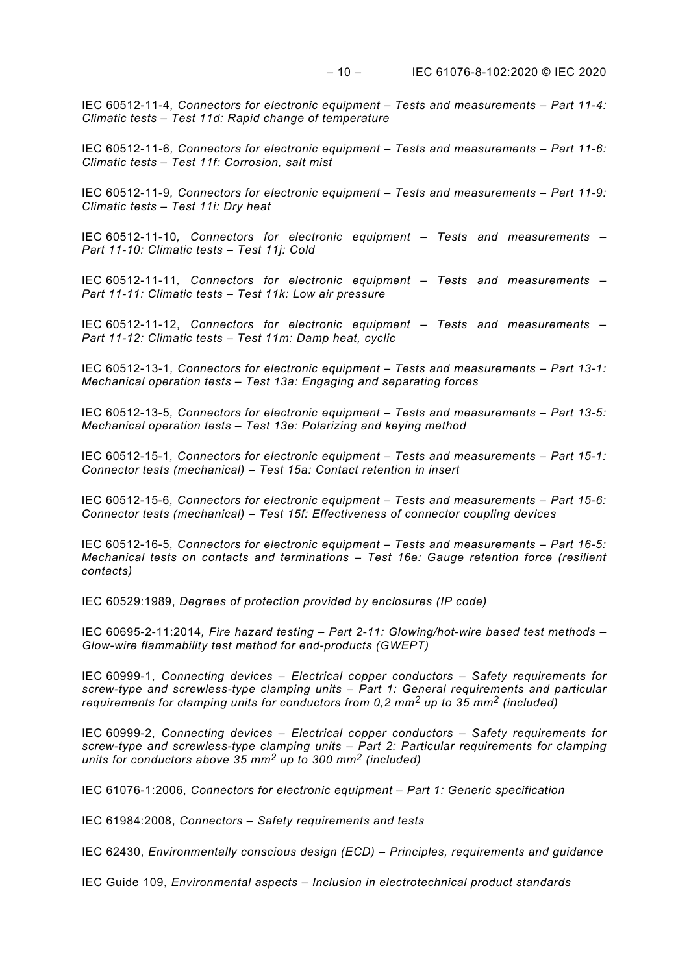IEC 60512-11-4*, Connectors for electronic equipment – Tests and measurements – Part 11-4: Climatic tests – Test 11d: Rapid change of temperature*

IEC 60512-11-6*, Connectors for electronic equipment – Tests and measurements – Part 11-6: Climatic tests – Test 11f: Corrosion, salt mist*

IEC 60512-11-9*, Connectors for electronic equipment – Tests and measurements – Part 11-9: Climatic tests – Test 11i: Dry heat*

IEC 60512-11-10*, Connectors for electronic equipment – Tests and measurements – Part 11-10: Climatic tests – Test 11j: Cold*

IEC 60512-11-11*, Connectors for electronic equipment – Tests and measurements – Part 11-11: Climatic tests – Test 11k: Low air pressure*

IEC 60512-11-12, *Connectors for electronic equipment – Tests and measurements – Part 11-12: Climatic tests – Test 11m: Damp heat, cyclic*

IEC 60512-13-1*, Connectors for electronic equipment – Tests and measurements – Part 13-1: Mechanical operation tests – Test 13a: Engaging and separating forces*

IEC 60512-13-5*, Connectors for electronic equipment – Tests and measurements – Part 13-5: Mechanical operation tests – Test 13e: Polarizing and keying method* 

IEC 60512-15-1*, Connectors for electronic equipment – Tests and measurements – Part 15-1: Connector tests (mechanical) – Test 15a: Contact retention in insert*

IEC 60512-15-6*, Connectors for electronic equipment – Tests and measurements – Part 15-6: Connector tests (mechanical) – Test 15f: Effectiveness of connector coupling devices*

IEC 60512-16-5*, Connectors for electronic equipment – Tests and measurements – Part 16-5: Mechanical tests on contacts and terminations – Test 16e: Gauge retention force (resilient contacts)*

IEC 60529:1989, *Degrees of protection provided by enclosures (IP code)*

IEC 60695-2-11:2014*, Fire hazard testing – Part 2-11: Glowing/hot-wire based test methods – Glow-wire flammability test method for end-products (GWEPT)*

IEC 60999-1, *Connecting devices – Electrical copper conductors – Safety requirements for screw-type and screwless-type clamping units – Part 1: General requirements and particular requirements for clamping units for conductors from 0,2 mm<sup>2</sup> up to 35 mm<sup>2</sup> (included)*

IEC 60999-2, *Connecting devices – Electrical copper conductors – Safety requirements for screw-type and screwless-type clamping units – Part 2: Particular requirements for clamping units for conductors above 35 mm<sup>2</sup> up to 300 mm<sup>2</sup> (included)*

IEC 61076-1:2006, *Connectors for electronic equipment – Part 1: Generic specification*

IEC 61984:2008, *Connectors – Safety requirements and tests*

IEC 62430, *Environmentally conscious design (ECD) – Principles, requirements and guidance*

IEC Guide 109, *Environmental aspects – Inclusion in electrotechnical product standards*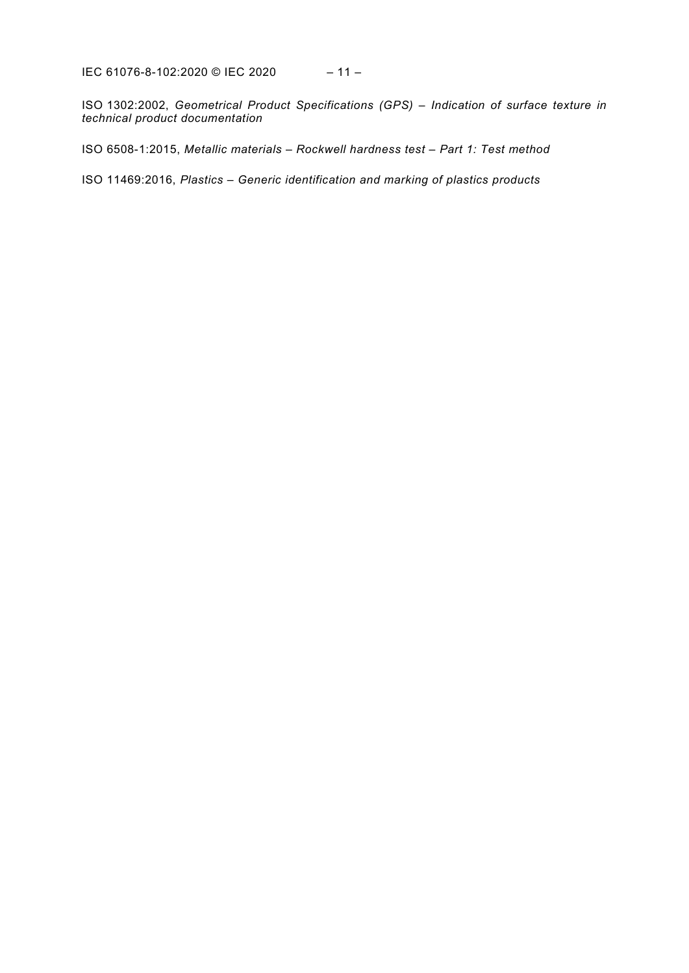ISO 1302:2002, *Geometrical Product Specifications (GPS) – Indication of surface texture in technical product documentation*

ISO 6508-1:2015, *Metallic materials – Rockwell hardness test – Part 1: Test method*

<span id="page-10-5"></span><span id="page-10-4"></span><span id="page-10-3"></span><span id="page-10-2"></span><span id="page-10-1"></span><span id="page-10-0"></span>ISO 11469:2016, *Plastics – Generic identification and marking of plastics products*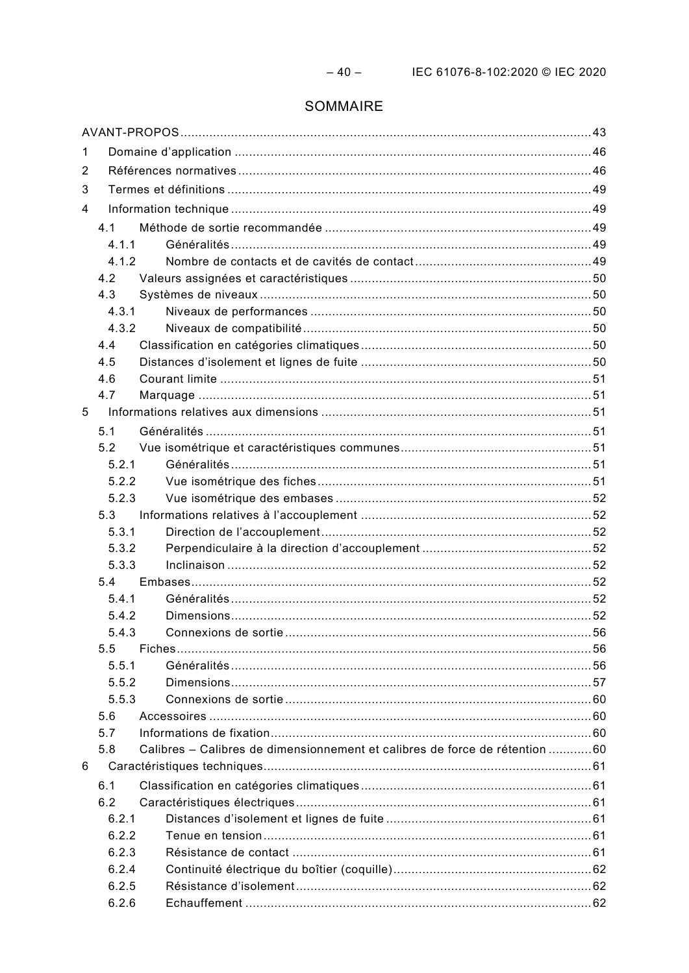# SOMMAIRE

| 1 |       |                                                                             |  |
|---|-------|-----------------------------------------------------------------------------|--|
| 2 |       |                                                                             |  |
| 3 |       |                                                                             |  |
| 4 |       |                                                                             |  |
|   | 4.1   |                                                                             |  |
|   | 4.1.1 |                                                                             |  |
|   | 4.1.2 |                                                                             |  |
|   | 4.2   |                                                                             |  |
|   | 4.3   |                                                                             |  |
|   | 4.3.1 |                                                                             |  |
|   | 4.3.2 |                                                                             |  |
|   | 4.4   |                                                                             |  |
|   | 4.5   |                                                                             |  |
|   | 4.6   |                                                                             |  |
|   | 4.7   |                                                                             |  |
| 5 |       |                                                                             |  |
|   | 5.1   |                                                                             |  |
|   | 5.2   |                                                                             |  |
|   | 5.2.1 |                                                                             |  |
|   | 5.2.2 |                                                                             |  |
|   | 5.2.3 |                                                                             |  |
|   | 5.3   |                                                                             |  |
|   | 5.3.1 |                                                                             |  |
|   | 5.3.2 |                                                                             |  |
|   | 5.3.3 |                                                                             |  |
|   | 5.4   |                                                                             |  |
|   | 5.4.1 |                                                                             |  |
|   | 5.4.2 |                                                                             |  |
|   | 5.4.3 |                                                                             |  |
|   | 5.5   |                                                                             |  |
|   | 5.5.1 |                                                                             |  |
|   | 5.5.2 |                                                                             |  |
|   | 5.5.3 |                                                                             |  |
|   | 5.6   |                                                                             |  |
|   | 5.7   |                                                                             |  |
|   | 5.8   | Calibres – Calibres de dimensionnement et calibres de force de rétention 60 |  |
| 6 |       |                                                                             |  |
|   | 6.1   |                                                                             |  |
|   | 6.2   |                                                                             |  |
|   | 6.2.1 |                                                                             |  |
|   | 6.2.2 |                                                                             |  |
|   | 6.2.3 |                                                                             |  |
|   | 6.2.4 |                                                                             |  |
|   | 6.2.5 |                                                                             |  |
|   | 6.2.6 |                                                                             |  |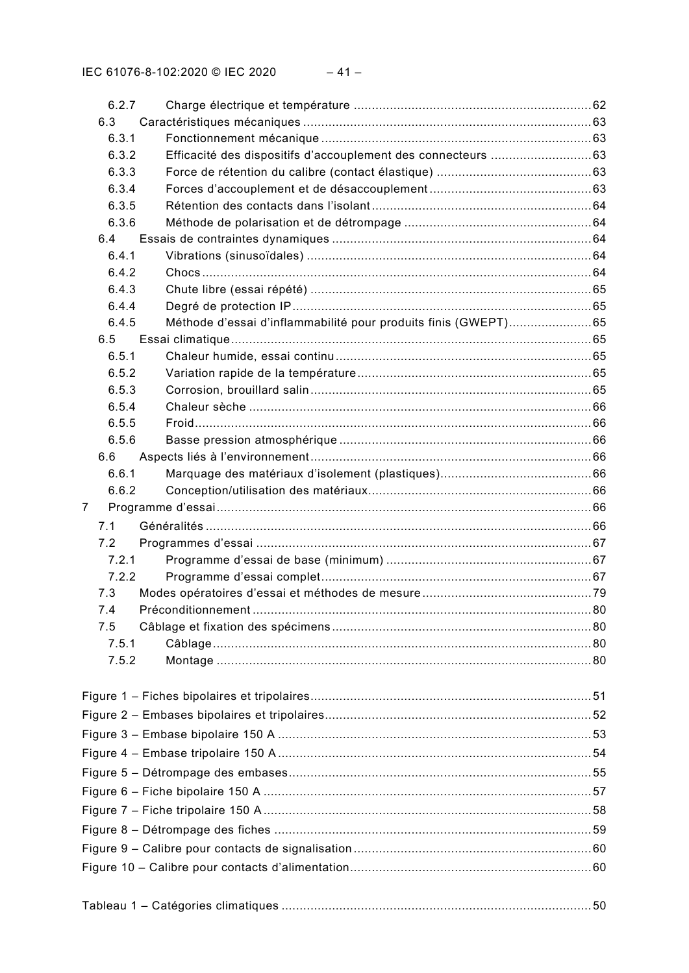| 6.2.7        |                                                                |  |  |  |
|--------------|----------------------------------------------------------------|--|--|--|
| 6.3          |                                                                |  |  |  |
| 6.3.1        |                                                                |  |  |  |
| 6.3.2        | Efficacité des dispositifs d'accouplement des connecteurs 63   |  |  |  |
| 6.3.3        |                                                                |  |  |  |
| 6.3.4        |                                                                |  |  |  |
| 6.3.5        |                                                                |  |  |  |
| 6.3.6        |                                                                |  |  |  |
| 6.4          |                                                                |  |  |  |
| 6.4.1        |                                                                |  |  |  |
| 6.4.2        |                                                                |  |  |  |
| 6.4.3        |                                                                |  |  |  |
| 6.4.4        |                                                                |  |  |  |
| 6.4.5        | Méthode d'essai d'inflammabilité pour produits finis (GWEPT)65 |  |  |  |
| 6.5          |                                                                |  |  |  |
| 6.5.1        |                                                                |  |  |  |
| 6.5.2        |                                                                |  |  |  |
| 6.5.3        |                                                                |  |  |  |
| 6.5.4        |                                                                |  |  |  |
| 6.5.5        |                                                                |  |  |  |
| 6.5.6        |                                                                |  |  |  |
| 6.6<br>6.6.1 |                                                                |  |  |  |
| 6.6.2        |                                                                |  |  |  |
| 7            |                                                                |  |  |  |
| 7.1          |                                                                |  |  |  |
| 7.2          |                                                                |  |  |  |
| 7.2.1        |                                                                |  |  |  |
| 7.2.2        |                                                                |  |  |  |
| 7.3          |                                                                |  |  |  |
| 7.4          |                                                                |  |  |  |
| 7.5          |                                                                |  |  |  |
| 7.5.1        |                                                                |  |  |  |
| 7.5.2        |                                                                |  |  |  |
|              |                                                                |  |  |  |
|              |                                                                |  |  |  |
|              |                                                                |  |  |  |
|              |                                                                |  |  |  |
|              |                                                                |  |  |  |
|              |                                                                |  |  |  |
|              |                                                                |  |  |  |
|              |                                                                |  |  |  |
|              |                                                                |  |  |  |
|              |                                                                |  |  |  |
|              |                                                                |  |  |  |
|              |                                                                |  |  |  |
|              |                                                                |  |  |  |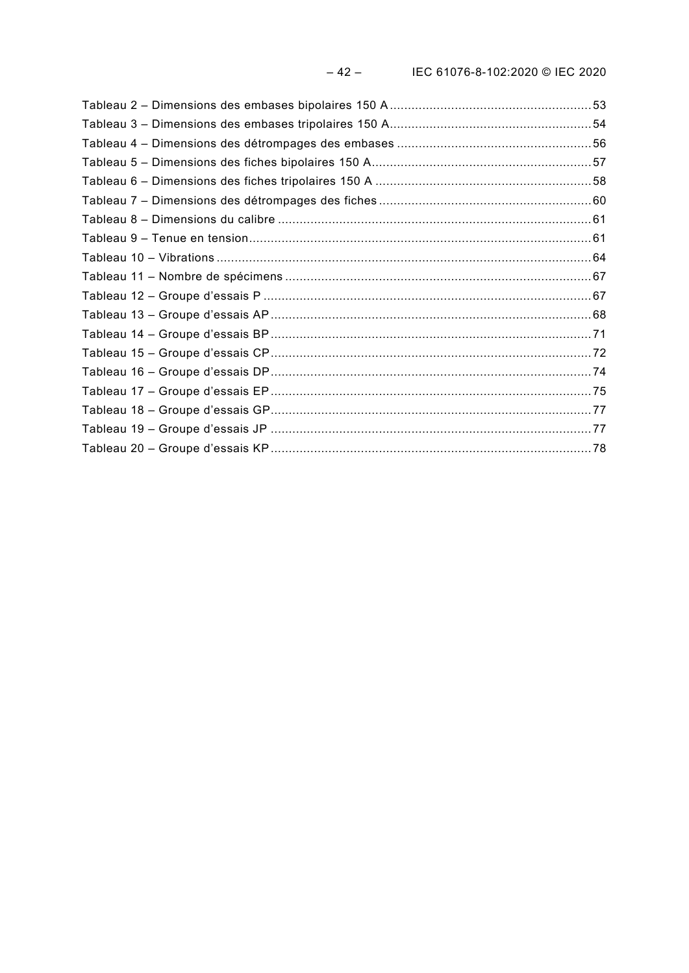# -42- IEC 61076-8-102:2020 © IEC 2020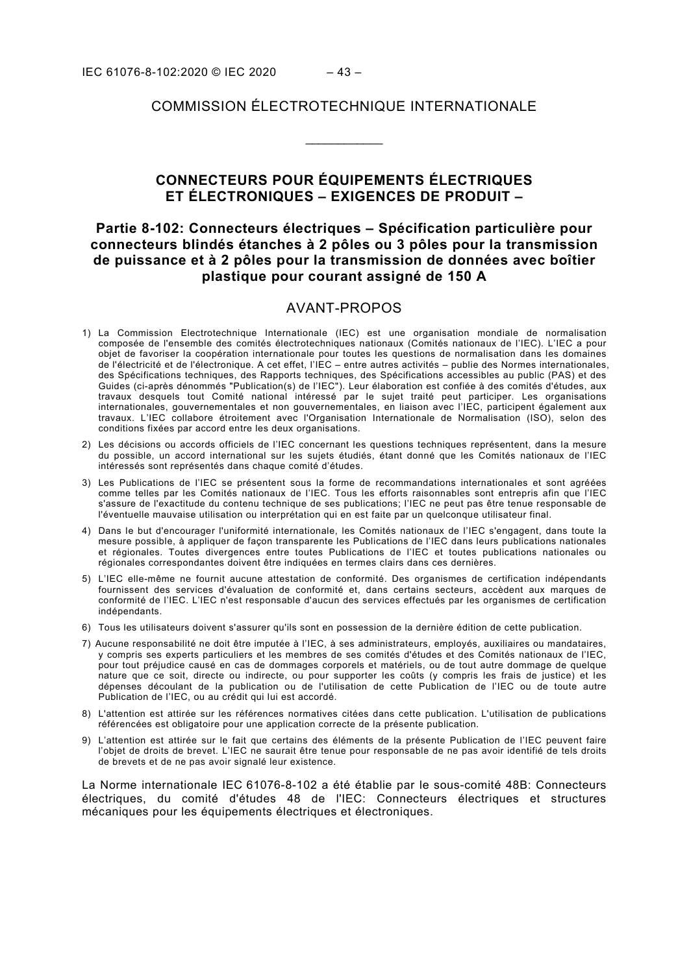#### COMMISSION ÉLECTROTECHNIQUE INTERNATIONALE

\_\_\_\_\_\_\_\_\_\_\_\_

# **CONNECTEURS POUR ÉQUIPEMENTS ÉLECTRIQUES ET ÉLECTRONIQUES – EXIGENCES DE PRODUIT –**

# **Partie 8-102: Connecteurs électriques – Spécification particulière pour connecteurs blindés étanches à 2 pôles ou 3 pôles pour la transmission de puissance et à 2 pôles pour la transmission de données avec boîtier plastique pour courant assigné de 150 A**

#### AVANT-PROPOS

- <span id="page-14-0"></span>1) La Commission Electrotechnique Internationale (IEC) est une organisation mondiale de normalisation composée de l'ensemble des comités électrotechniques nationaux (Comités nationaux de l'IEC). L'IEC a pour objet de favoriser la coopération internationale pour toutes les questions de normalisation dans les domaines de l'électricité et de l'électronique. A cet effet, l'IEC – entre autres activités – publie des Normes internationales, des Spécifications techniques, des Rapports techniques, des Spécifications accessibles au public (PAS) et des Guides (ci-après dénommés "Publication(s) de l'IEC"). Leur élaboration est confiée à des comités d'études, aux travaux desquels tout Comité national intéressé par le sujet traité peut participer. Les organisations internationales, gouvernementales et non gouvernementales, en liaison avec l'IEC, participent également aux travaux. L'IEC collabore étroitement avec l'Organisation Internationale de Normalisation (ISO), selon des conditions fixées par accord entre les deux organisations.
- 2) Les décisions ou accords officiels de l'IEC concernant les questions techniques représentent, dans la mesure du possible, un accord international sur les sujets étudiés, étant donné que les Comités nationaux de l'IEC intéressés sont représentés dans chaque comité d'études.
- 3) Les Publications de l'IEC se présentent sous la forme de recommandations internationales et sont agréées comme telles par les Comités nationaux de l'IEC. Tous les efforts raisonnables sont entrepris afin que l'IEC s'assure de l'exactitude du contenu technique de ses publications; l'IEC ne peut pas être tenue responsable de l'éventuelle mauvaise utilisation ou interprétation qui en est faite par un quelconque utilisateur final.
- 4) Dans le but d'encourager l'uniformité internationale, les Comités nationaux de l'IEC s'engagent, dans toute la mesure possible, à appliquer de façon transparente les Publications de l'IEC dans leurs publications nationales et régionales. Toutes divergences entre toutes Publications de l'IEC et toutes publications nationales ou régionales correspondantes doivent être indiquées en termes clairs dans ces dernières.
- 5) L'IEC elle-même ne fournit aucune attestation de conformité. Des organismes de certification indépendants fournissent des services d'évaluation de conformité et, dans certains secteurs, accèdent aux marques de conformité de l'IEC. L'IEC n'est responsable d'aucun des services effectués par les organismes de certification indépendants.
- 6) Tous les utilisateurs doivent s'assurer qu'ils sont en possession de la dernière édition de cette publication.
- 7) Aucune responsabilité ne doit être imputée à l'IEC, à ses administrateurs, employés, auxiliaires ou mandataires, y compris ses experts particuliers et les membres de ses comités d'études et des Comités nationaux de l'IEC, pour tout préjudice causé en cas de dommages corporels et matériels, ou de tout autre dommage de quelque nature que ce soit, directe ou indirecte, ou pour supporter les coûts (y compris les frais de justice) et les dépenses découlant de la publication ou de l'utilisation de cette Publication de l'IEC ou de toute autre Publication de l'IEC, ou au crédit qui lui est accordé.
- 8) L'attention est attirée sur les références normatives citées dans cette publication. L'utilisation de publications référencées est obligatoire pour une application correcte de la présente publication.
- 9) L'attention est attirée sur le fait que certains des éléments de la présente Publication de l'IEC peuvent faire l'objet de droits de brevet. L'IEC ne saurait être tenue pour responsable de ne pas avoir identifié de tels droits de brevets et de ne pas avoir signalé leur existence.

La Norme internationale IEC 61076-8-102 a été établie par le sous-comité 48B: Connecteurs électriques, du comité d'études 48 de l'IEC: Connecteurs électriques et structures mécaniques pour les équipements électriques et électroniques.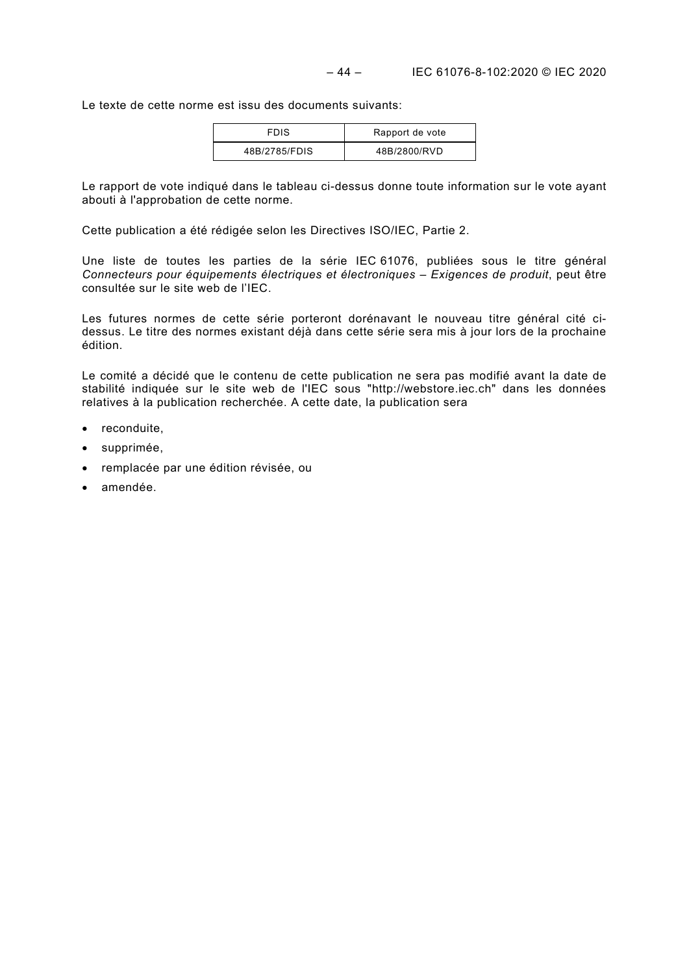Le texte de cette norme est issu des documents suivants:

| <b>FDIS</b>   | Rapport de vote |
|---------------|-----------------|
| 48B/2785/FDIS | 48B/2800/RVD    |

Le rapport de vote indiqué dans le tableau ci-dessus donne toute information sur le vote ayant abouti à l'approbation de cette norme.

Cette publication a été rédigée selon les Directives ISO/IEC, Partie 2.

Une liste de toutes les parties de la série IEC 61076, publiées sous le titre général *Connecteurs pour équipements électriques et électroniques – Exigences de produit*, peut être consultée sur le site web de l'IEC.

Les futures normes de cette série porteront dorénavant le nouveau titre général cité cidessus. Le titre des normes existant déjà dans cette série sera mis à jour lors de la prochaine édition.

Le comité a décidé que le contenu de cette publication ne sera pas modifié avant la date de stabilité indiquée sur le site web de l'IEC sous "http://webstore.iec.ch" dans les données relatives à la publication recherchée. A cette date, la publication sera

- reconduite,
- supprimée,
- remplacée par une édition révisée, ou
- amendée.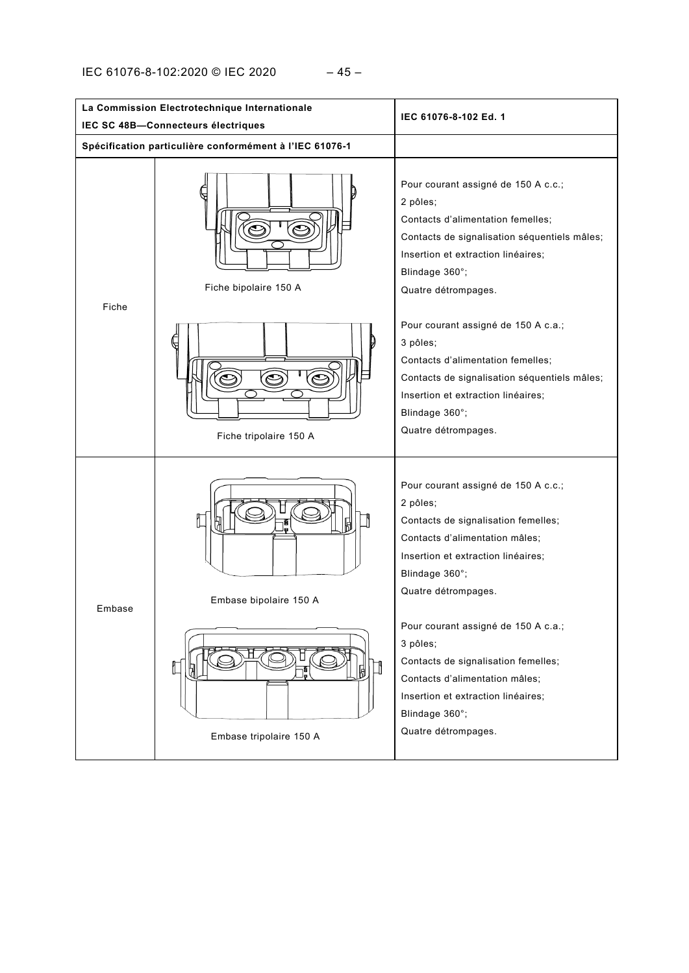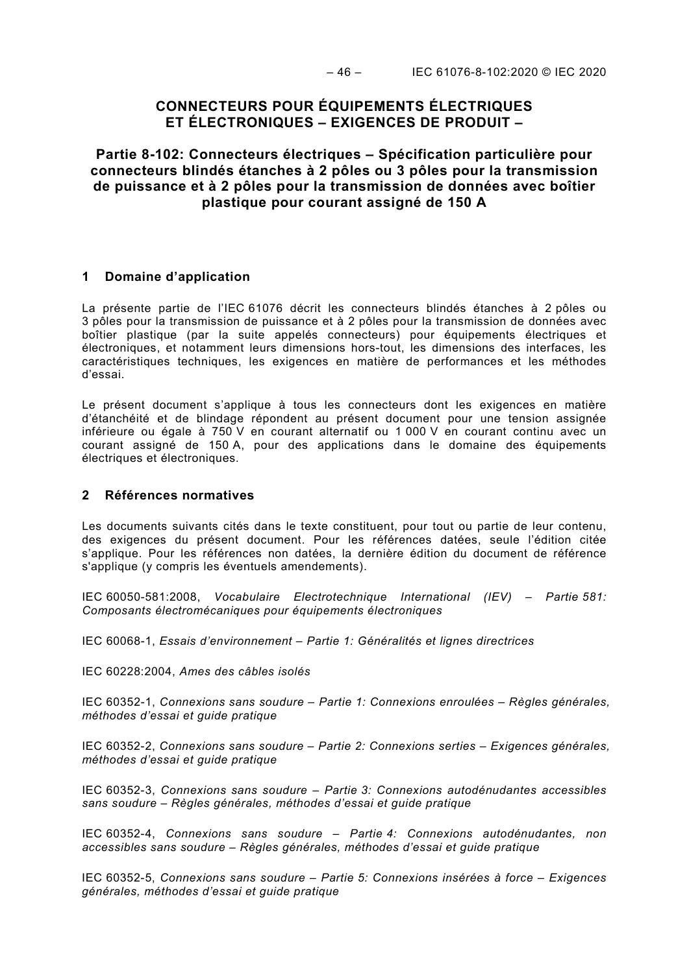# **CONNECTEURS POUR ÉQUIPEMENTS ÉLECTRIQUES ET ÉLECTRONIQUES – EXIGENCES DE PRODUIT –**

**Partie 8-102: Connecteurs électriques – Spécification particulière pour connecteurs blindés étanches à 2 pôles ou 3 pôles pour la transmission de puissance et à 2 pôles pour la transmission de données avec boîtier plastique pour courant assigné de 150 A** 

#### <span id="page-17-0"></span>**1 Domaine d'application**

La présente partie de l'IEC 61076 décrit les connecteurs blindés étanches à 2 pôles ou 3 pôles pour la transmission de puissance et à 2 pôles pour la transmission de données avec boîtier plastique (par la suite appelés connecteurs) pour équipements électriques et électroniques, et notamment leurs dimensions hors-tout, les dimensions des interfaces, les caractéristiques techniques, les exigences en matière de performances et les méthodes d'essai.

Le présent document s'applique à tous les connecteurs dont les exigences en matière d'étanchéité et de blindage répondent au présent document pour une tension assignée inférieure ou égale à 750 V en courant alternatif ou 1 000 V en courant continu avec un courant assigné de 150 A, pour des applications dans le domaine des équipements électriques et électroniques.

#### <span id="page-17-1"></span>**2 Références normatives**

Les documents suivants cités dans le texte constituent, pour tout ou partie de leur contenu, des exigences du présent document. Pour les références datées, seule l'édition citée s'applique. Pour les références non datées, la dernière édition du document de référence s'applique (y compris les éventuels amendements).

IEC 60050-581:2008, *Vocabulaire Electrotechnique International (IEV) – Partie 581: Composants électromécaniques pour équipements électroniques*

IEC 60068-1, *Essais d'environnement – Partie 1: Généralités et lignes directrices*

IEC 60228:2004, *Ames des câbles isolés*

IEC 60352-1, *Connexions sans soudure – Partie 1: Connexions enroulées – Règles générales, méthodes d'essai et guide pratique*

IEC 60352-2, *Connexions sans soudure – Partie 2: Connexions serties – Exigences générales, méthodes d'essai et guide pratique*

IEC 60352-3, *Connexions sans soudure – Partie 3: Connexions autodénudantes accessibles sans soudure – Règles générales, méthodes d'essai et guide pratique*

IEC 60352-4, *Connexions sans soudure – Partie 4: Connexions autodénudantes, non accessibles sans soudure – Règles générales, méthodes d'essai et guide pratique*

IEC 60352-5, *Connexions sans soudure – Partie 5: Connexions insérées à force – Exigences générales, méthodes d'essai et guide pratique*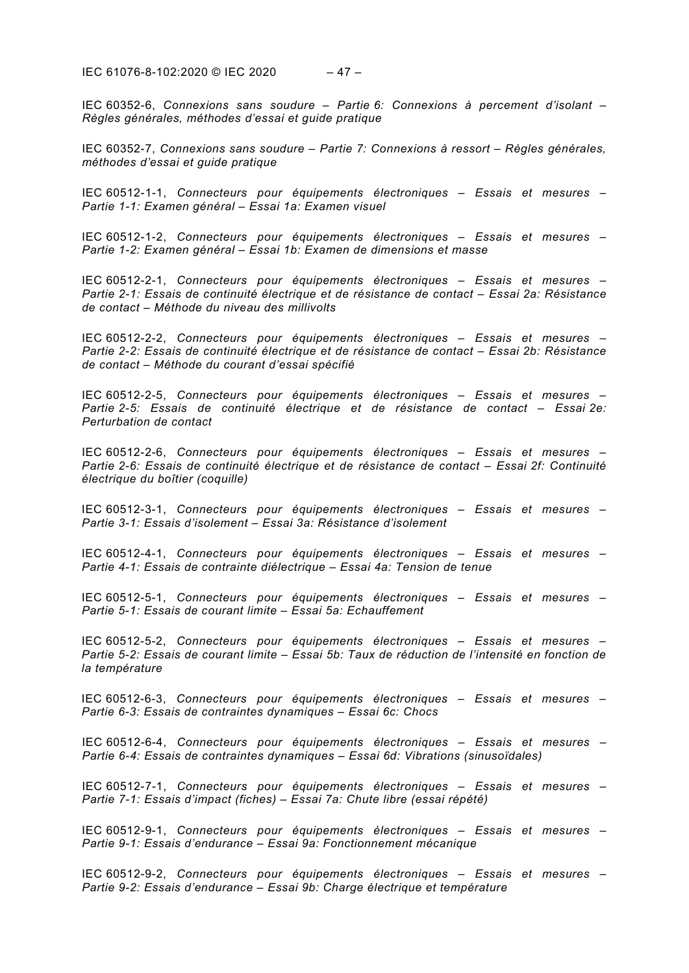IEC 61076-8-102:2020 © IEC 2020 – 47 –

IEC 60352-6, *Connexions sans soudure – Partie 6: Connexions à percement d'isolant – Règles générales, méthodes d'essai et guide pratique*

IEC 60352-7, *Connexions sans soudure – Partie 7: Connexions à ressort – Règles générales, méthodes d'essai et guide pratique*

IEC 60512-1-1, *Connecteurs pour équipements électroniques – Essais et mesures – Partie 1-1: Examen général – Essai 1a: Examen visuel*

IEC 60512-1-2, *Connecteurs pour équipements électroniques – Essais et mesures – Partie 1-2: Examen général – Essai 1b: Examen de dimensions et masse*

IEC 60512-2-1, *Connecteurs pour équipements électroniques – Essais et mesures – Partie 2-1: Essais de continuité électrique et de résistance de contact – Essai 2a: Résistance de contact – Méthode du niveau des millivolts*

IEC 60512-2-2, *Connecteurs pour équipements électroniques – Essais et mesures – Partie 2-2: Essais de continuité électrique et de résistance de contact – Essai 2b: Résistance de contact – Méthode du courant d'essai spécifié*

IEC 60512-2-5, *Connecteurs pour équipements électroniques – Essais et mesures – Partie 2-5: Essais de continuité électrique et de résistance de contact – Essai 2e: Perturbation de contact*

IEC 60512-2-6, *Connecteurs pour équipements électroniques – Essais et mesures – Partie 2-6: Essais de continuité électrique et de résistance de contact – Essai 2f: Continuité électrique du boîtier (coquille)*

IEC 60512-3-1, *Connecteurs pour équipements électroniques – Essais et mesures – Partie 3-1: Essais d'isolement – Essai 3a: Résistance d'isolement*

IEC 60512-4-1, *Connecteurs pour équipements électroniques – Essais et mesures – Partie 4-1: Essais de contrainte diélectrique – Essai 4a: Tension de tenue*

IEC 60512-5-1, *Connecteurs pour équipements électroniques – Essais et mesures – Partie 5-1: Essais de courant limite – Essai 5a: Echauffement*

IEC 60512-5-2, *Connecteurs pour équipements électroniques – Essais et mesures – Partie 5-2: Essais de courant limite – Essai 5b: Taux de réduction de l'intensité en fonction de la température*

IEC 60512-6-3, *Connecteurs pour équipements électroniques – Essais et mesures – Partie 6-3: Essais de contraintes dynamiques – Essai 6c: Chocs*

IEC 60512-6-4, *Connecteurs pour équipements électroniques – Essais et mesures – Partie 6-4: Essais de contraintes dynamiques – Essai 6d: Vibrations (sinusoïdales)*

IEC 60512-7-1, *Connecteurs pour équipements électroniques – Essais et mesures – Partie 7-1: Essais d'impact (fiches) – Essai 7a: Chute libre (essai répété)*

IEC 60512-9-1, *Connecteurs pour équipements électroniques – Essais et mesures – Partie 9-1: Essais d'endurance – Essai 9a: Fonctionnement mécanique*

IEC 60512-9-2, *Connecteurs pour équipements électroniques – Essais et mesures – Partie 9-2: Essais d'endurance – Essai 9b: Charge électrique et température*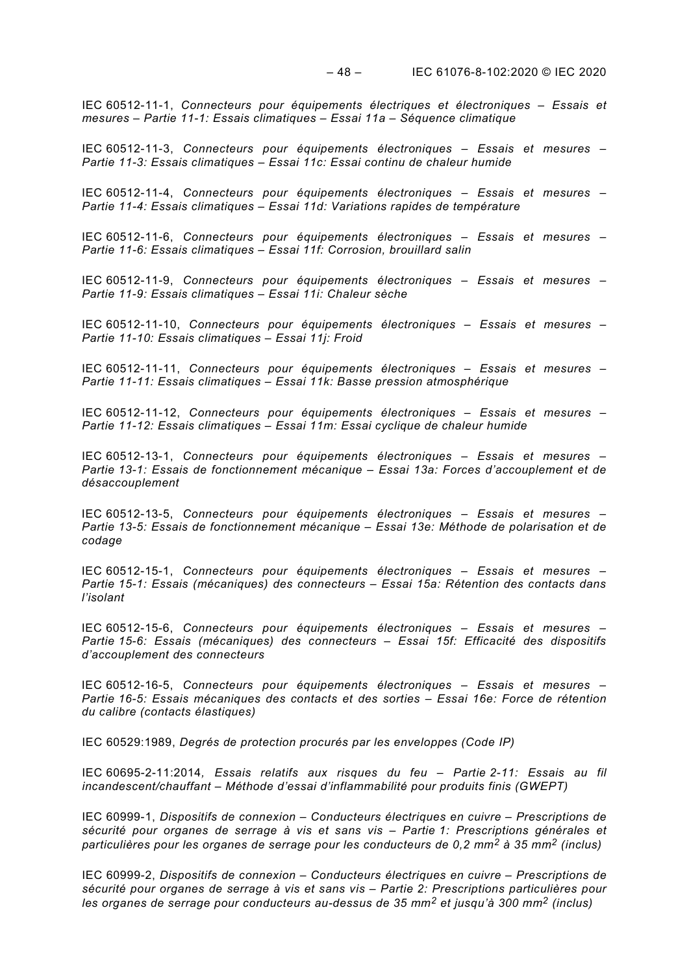IEC 60512-11-1, *Connecteurs pour équipements électriques et électroniques – Essais et mesures – Partie 11-1: Essais climatiques – Essai 11a – Séquence climatique*

IEC 60512-11-3, *Connecteurs pour équipements électroniques – Essais et mesures – Partie 11-3: Essais climatiques – Essai 11c: Essai continu de chaleur humide*

IEC 60512-11-4, *Connecteurs pour équipements électroniques – Essais et mesures – Partie 11-4: Essais climatiques – Essai 11d: Variations rapides de température*

IEC 60512-11-6, *Connecteurs pour équipements électroniques – Essais et mesures – Partie 11-6: Essais climatiques – Essai 11f: Corrosion, brouillard salin*

IEC 60512-11-9, *Connecteurs pour équipements électroniques – Essais et mesures – Partie 11-9: Essais climatiques – Essai 11i: Chaleur sèche*

IEC 60512-11-10, *Connecteurs pour équipements électroniques – Essais et mesures – Partie 11-10: Essais climatiques – Essai 11j: Froid*

IEC 60512-11-11, *Connecteurs pour équipements électroniques – Essais et mesures – Partie 11-11: Essais climatiques – Essai 11k: Basse pression atmosphérique*

IEC 60512-11-12, *Connecteurs pour équipements électroniques – Essais et mesures – Partie 11-12: Essais climatiques – Essai 11m: Essai cyclique de chaleur humide*

IEC 60512-13-1, *Connecteurs pour équipements électroniques – Essais et mesures – Partie 13-1: Essais de fonctionnement mécanique – Essai 13a: Forces d'accouplement et de désaccouplement*

IEC 60512-13-5, *Connecteurs pour équipements électroniques – Essais et mesures – Partie 13-5: Essais de fonctionnement mécanique – Essai 13e: Méthode de polarisation et de codage* 

IEC 60512-15-1, *Connecteurs pour équipements électroniques – Essais et mesures – Partie 15-1: Essais (mécaniques) des connecteurs – Essai 15a: Rétention des contacts dans l'isolant*

IEC 60512-15-6, *Connecteurs pour équipements électroniques – Essais et mesures – Partie 15-6: Essais (mécaniques) des connecteurs – Essai 15f: Efficacité des dispositifs d'accouplement des connecteurs*

IEC 60512-16-5, *Connecteurs pour équipements électroniques – Essais et mesures – Partie 16-5: Essais mécaniques des contacts et des sorties – Essai 16e: Force de rétention du calibre (contacts élastiques)*

IEC 60529:1989, *Degrés de protection procurés par les enveloppes (Code IP)*

IEC 60695-2-11:2014*, Essais relatifs aux risques du feu – Partie 2-11: Essais au fil incandescent/chauffant – Méthode d'essai d'inflammabilité pour produits finis (GWEPT)*

IEC 60999-1, *Dispositifs de connexion – Conducteurs électriques en cuivre – Prescriptions de sécurité pour organes de serrage à vis et sans vis – Partie 1: Prescriptions générales et particulières pour les organes de serrage pour les conducteurs de 0,2 mm<sup>2</sup> à 35 mm<sup>2</sup> (inclus)*

IEC 60999-2, *Dispositifs de connexion – Conducteurs électriques en cuivre – Prescriptions de sécurité pour organes de serrage à vis et sans vis – Partie 2: Prescriptions particulières pour les organes de serrage pour conducteurs au-dessus de 35 mm<sup>2</sup> et jusqu'à 300 mm<sup>2</sup> (inclus)*